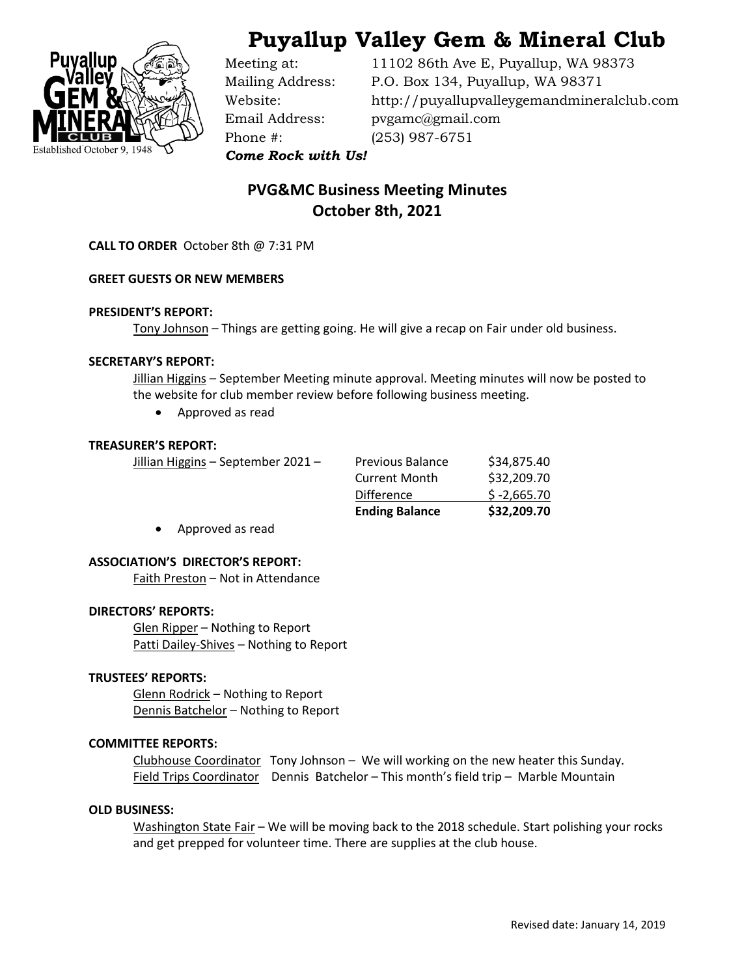



Phone #: (253) 987-6751

Meeting at: 11102 86th Ave E, Puyallup, WA 98373 Mailing Address: P.O. Box 134, Puyallup, WA 98371 Website: http://puyallupvalleygemandmineralclub.com Email Address: pvgamc@gmail.com

*Come Rock with Us!*

# **PVG&MC Business Meeting Minutes October 8th, 2021**

**CALL TO ORDER** October 8th @ 7:31 PM

#### **GREET GUESTS OR NEW MEMBERS**

#### **PRESIDENT'S REPORT:**

Tony Johnson – Things are getting going. He will give a recap on Fair under old business.

#### **SECRETARY'S REPORT:**

Jillian Higgins - September Meeting minute approval. Meeting minutes will now be posted to the website for club member review before following business meeting.

• Approved as read

#### **TREASURER'S REPORT:**

|                                    | <b>Ending Balance</b>   | \$32,209.70   |
|------------------------------------|-------------------------|---------------|
|                                    | <b>Difference</b>       | $$ -2,665.70$ |
|                                    | <b>Current Month</b>    | \$32,209.70   |
| Jillian Higgins - September 2021 - | <b>Previous Balance</b> | \$34,875.40   |

• Approved as read

#### **ASSOCIATION'S DIRECTOR'S REPORT:**

Faith Preston – Not in Attendance

#### **DIRECTORS' REPORTS:**

Glen Ripper – Nothing to Report Patti Dailey-Shives – Nothing to Report

### **TRUSTEES' REPORTS:**

Glenn Rodrick – Nothing to Report Dennis Batchelor – Nothing to Report

#### **COMMITTEE REPORTS:**

Clubhouse Coordinator Tony Johnson – We will working on the new heater this Sunday. Field Trips Coordinator Dennis Batchelor – This month's field trip – Marble Mountain

#### **OLD BUSINESS:**

Washington State Fair – We will be moving back to the 2018 schedule. Start polishing your rocks and get prepped for volunteer time. There are supplies at the club house.